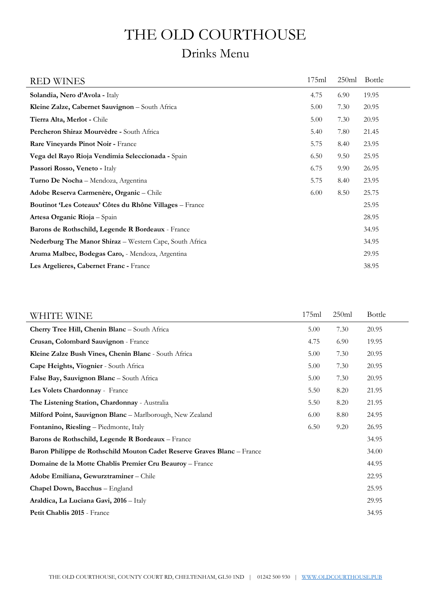# THE OLD COURTHOUSE

## Drinks Menu

| <b>RED WINES</b>                                        | 175ml | 250ml | <b>Bottle</b> |
|---------------------------------------------------------|-------|-------|---------------|
| Solandia, Nero d'Avola - Italy                          | 4.75  | 6.90  | 19.95         |
| Kleine Zalze, Cabernet Sauvignon - South Africa         | 5.00  | 7.30  | 20.95         |
| Tierra Alta, Merlot - Chile                             | 5.00  | 7.30  | 20.95         |
| Percheron Shiraz Mourvèdre - South Africa               | 5.40  | 7.80  | 21.45         |
| Rare Vineyards Pinot Noir - France                      | 5.75  | 8.40  | 23.95         |
| Vega del Rayo Rioja Vendimia Seleccionada - Spain       | 6.50  | 9.50  | 25.95         |
| Passori Rosso, Veneto - Italy                           | 6.75  | 9.90  | 26.95         |
| Turno De Nocha - Mendoza, Argentina                     | 5.75  | 8.40  | 23.95         |
| Adobe Reserva Carmenère, Organic - Chile                | 6.00  | 8.50  | 25.75         |
| Boutinot 'Les Coteaux' Côtes du Rhône Villages - France |       |       | 25.95         |
| Artesa Organic Rioja - Spain                            |       |       | 28.95         |
| Barons de Rothschild, Legende R Bordeaux - France       |       |       | 34.95         |
| Nederburg The Manor Shiraz - Western Cape, South Africa |       |       | 34.95         |
| Aruma Malbec, Bodegas Caro, - Mendoza, Argentina        |       |       | 29.95         |
| Les Argelieres, Cabernet Franc - France                 |       |       | 38.95         |

| WHITE WINE                                                              | 175ml | 250ml | Bottle |
|-------------------------------------------------------------------------|-------|-------|--------|
| Cherry Tree Hill, Chenin Blanc - South Africa                           | 5.00  | 7.30  | 20.95  |
| Crusan, Colombard Sauvignon - France                                    | 4.75  | 6.90  | 19.95  |
| Kleine Zalze Bush Vines, Chenin Blanc - South Africa                    | 5.00  | 7.30  | 20.95  |
| Cape Heights, Viognier - South Africa                                   | 5.00  | 7.30  | 20.95  |
| False Bay, Sauvignon Blanc - South Africa                               | 5.00  | 7.30  | 20.95  |
| Les Volets Chardonnay - France                                          | 5.50  | 8.20  | 21.95  |
| The Listening Station, Chardonnay - Australia                           | 5.50  | 8.20  | 21.95  |
| Milford Point, Sauvignon Blanc - Marlborough, New Zealand               | 6.00  | 8.80  | 24.95  |
| Fontanino, Riesling - Piedmonte, Italy                                  | 6.50  | 9.20  | 26.95  |
| Barons de Rothschild, Legende R Bordeaux - France                       |       |       | 34.95  |
| Baron Philippe de Rothschild Mouton Cadet Reserve Graves Blanc - France |       |       | 34.00  |
| Domaine de la Motte Chablis Premier Cru Beauroy - France                |       |       | 44.95  |
| Adobe Emiliana, Gewurztraminer - Chile                                  |       |       | 22.95  |
| Chapel Down, Bacchus - England                                          |       |       | 25.95  |
| Araldica, La Luciana Gavi, 2016 - Italy                                 |       |       | 29.95  |
| Petit Chablis 2015 - France                                             |       |       | 34.95  |